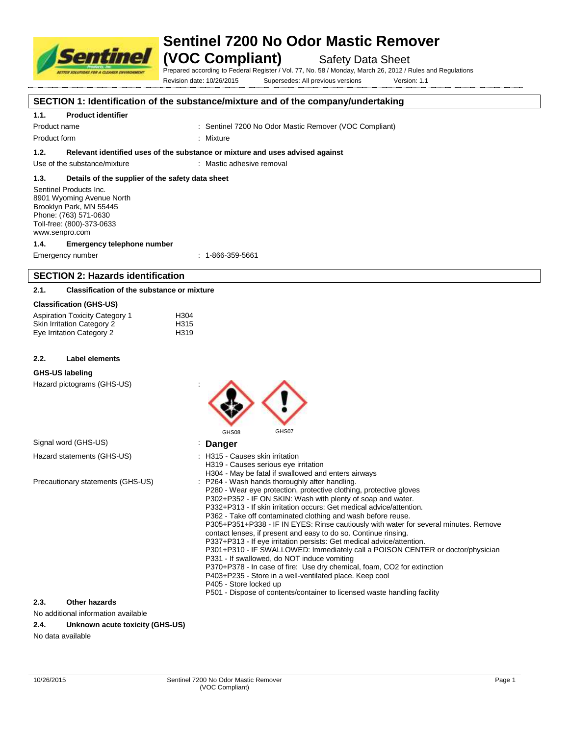

# **Sentinel 7200 No Odor Mastic Remover**

**(VOC Compliant)** Safety Data Sheet

Prepared according to Federal Register / Vol. 77, No. 58 / Monday, March 26, 2012 / Rules and Regulations

Revision date: 10/26/2015 Supersedes: All previous versions Version: 1.1

### **SECTION 1: Identification of the substance/mixture and of the company/undertaking**

#### **1.1. Product identifier**

Product name : Sentinel 7200 No Odor Mastic Remover (VOC Compliant)

Product form : Nixture : Mixture

**1.2. Relevant identified uses of the substance or mixture and uses advised against**

Use of the substance/mixture : Mastic adhesive removal

### **1.3. Details of the supplier of the safety data sheet**

Sentinel Products Inc. 8901 Wyoming Avenue North Brooklyn Park, MN 55445 Phone: (763) 571-0630 Toll-free: (800)-373-0633 www.senpro.com

#### **1.4. Emergency telephone number**

Emergency number : 1-866-359-5661

# **SECTION 2: Hazards identification**

#### **2.1. Classification of the substance or mixture**

#### **Classification (GHS-US)**

| <b>Aspiration Toxicity Category 1</b> | H <sub>304</sub> |
|---------------------------------------|------------------|
| <b>Skin Irritation Category 2</b>     | H315             |
| Eye Irritation Category 2             | H319             |

#### **2.2. Label elements**

#### **GHS-US labeling**

Hazard pictograms (GHS-US) :

|                                   | GHS07<br>GHS08                                                                                                                                                                                                                                                                                                                                                                                                                                                                                                                                                                                                                                                                                                                                                                                                                                                                                                                               |
|-----------------------------------|----------------------------------------------------------------------------------------------------------------------------------------------------------------------------------------------------------------------------------------------------------------------------------------------------------------------------------------------------------------------------------------------------------------------------------------------------------------------------------------------------------------------------------------------------------------------------------------------------------------------------------------------------------------------------------------------------------------------------------------------------------------------------------------------------------------------------------------------------------------------------------------------------------------------------------------------|
| Signal word (GHS-US)              | Danger                                                                                                                                                                                                                                                                                                                                                                                                                                                                                                                                                                                                                                                                                                                                                                                                                                                                                                                                       |
| Hazard statements (GHS-US)        | : H315 - Causes skin irritation<br>H319 - Causes serious eye irritation<br>H304 - May be fatal if swallowed and enters airways                                                                                                                                                                                                                                                                                                                                                                                                                                                                                                                                                                                                                                                                                                                                                                                                               |
| Precautionary statements (GHS-US) | : P264 - Wash hands thoroughly after handling.<br>P280 - Wear eye protection, protective clothing, protective gloves<br>P302+P352 - IF ON SKIN: Wash with plenty of soap and water.<br>P332+P313 - If skin irritation occurs: Get medical advice/attention.<br>P362 - Take off contaminated clothing and wash before reuse.<br>P305+P351+P338 - IF IN EYES: Rinse cautiously with water for several minutes. Remove<br>contact lenses, if present and easy to do so. Continue rinsing.<br>P337+P313 - If eye irritation persists: Get medical advice/attention.<br>P301+P310 - IF SWALLOWED: Immediately call a POISON CENTER or doctor/physician<br>P331 - If swallowed, do NOT induce vomiting<br>P370+P378 - In case of fire: Use dry chemical, foam, CO2 for extinction<br>P403+P235 - Store in a well-ventilated place. Keep cool<br>P405 - Store locked up<br>P501 - Dispose of contents/container to licensed waste handling facility |
| 2.3.<br><b>Other hazards</b>      |                                                                                                                                                                                                                                                                                                                                                                                                                                                                                                                                                                                                                                                                                                                                                                                                                                                                                                                                              |

#### No additional information available

#### **2.4. Unknown acute toxicity (GHS-US)**

No data available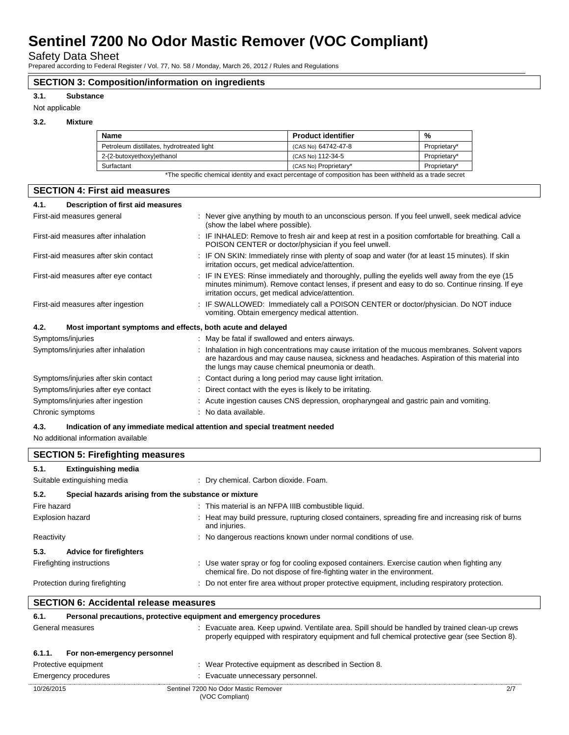Safety Data Sheet

Prepared according to Federal Register / Vol. 77, No. 58 / Monday, March 26, 2012 / Rules and Regulations

### **SECTION 3: Composition/information on ingredients**

#### **3.1. Substance**

Not applicable

#### **3.2. Mixture**

| <b>Name</b>                               | <b>Product identifier</b> | %            |
|-------------------------------------------|---------------------------|--------------|
| Petroleum distillates, hydrotreated light | (CAS No) 64742-47-8       | Proprietary* |
| 2-(2-butoxyethoxy)ethanol                 | (CAS No) 112-34-5         | Proprietary* |
| Surfactant                                | (CAS No) Proprietary*     | Proprietary* |

\*The specific chemical identity and exact percentage of composition has been withheld as a trade secret

| <b>SECTION 4: First aid measures</b>                                               |                                                                                                                                                                                                                                                        |  |
|------------------------------------------------------------------------------------|--------------------------------------------------------------------------------------------------------------------------------------------------------------------------------------------------------------------------------------------------------|--|
| Description of first aid measures<br>4.1.                                          |                                                                                                                                                                                                                                                        |  |
| First-aid measures general                                                         | : Never give anything by mouth to an unconscious person. If you feel unwell, seek medical advice<br>(show the label where possible).                                                                                                                   |  |
| First-aid measures after inhalation                                                | : IF INHALED: Remove to fresh air and keep at rest in a position comfortable for breathing. Call a<br>POISON CENTER or doctor/physician if you feel unwell.                                                                                            |  |
| First-aid measures after skin contact                                              | : IF ON SKIN: Immediately rinse with plenty of soap and water (for at least 15 minutes). If skin<br>irritation occurs, get medical advice/attention.                                                                                                   |  |
| First-aid measures after eye contact                                               | : IF IN EYES: Rinse immediately and thoroughly, pulling the eyelids well away from the eye (15)<br>minutes minimum). Remove contact lenses, if present and easy to do so. Continue rinsing. If eye<br>irritation occurs, get medical advice/attention. |  |
| First-aid measures after ingestion                                                 | : IF SWALLOWED: Immediately call a POISON CENTER or doctor/physician. Do NOT induce<br>vomiting. Obtain emergency medical attention.                                                                                                                   |  |
| 4.2.<br>Most important symptoms and effects, both acute and delayed                |                                                                                                                                                                                                                                                        |  |
| Symptoms/injuries                                                                  | : May be fatal if swallowed and enters airways.                                                                                                                                                                                                        |  |
| Symptoms/injuries after inhalation                                                 | : Inhalation in high concentrations may cause irritation of the mucous membranes. Solvent vapors<br>are hazardous and may cause nausea, sickness and headaches. Aspiration of this material into<br>the lungs may cause chemical pneumonia or death.   |  |
| Symptoms/injuries after skin contact                                               | : Contact during a long period may cause light irritation.                                                                                                                                                                                             |  |
| Symptoms/injuries after eye contact                                                | : Direct contact with the eyes is likely to be irritating.                                                                                                                                                                                             |  |
| Symptoms/injuries after ingestion                                                  | : Acute ingestion causes CNS depression, oropharyngeal and gastric pain and vomiting.                                                                                                                                                                  |  |
| Chronic symptoms                                                                   | : No data available.                                                                                                                                                                                                                                   |  |
| 4.3.<br>Indication of any immediate medical attention and special treatment needed |                                                                                                                                                                                                                                                        |  |

No additional information available

| <b>SECTION 5: Firefighting measures</b>                       |                                |                                                                                                                                                                         |
|---------------------------------------------------------------|--------------------------------|-------------------------------------------------------------------------------------------------------------------------------------------------------------------------|
| 5.1.                                                          | <b>Extinguishing media</b>     |                                                                                                                                                                         |
|                                                               | Suitable extinguishing media   | : Dry chemical. Carbon dioxide. Foam.                                                                                                                                   |
| 5.2.<br>Special hazards arising from the substance or mixture |                                |                                                                                                                                                                         |
| Fire hazard                                                   |                                | : This material is an NFPA IIIB combustible liquid.                                                                                                                     |
| <b>Explosion hazard</b>                                       |                                | : Heat may build pressure, rupturing closed containers, spreading fire and increasing risk of burns<br>and injuries.                                                    |
| Reactivity                                                    |                                | : No dangerous reactions known under normal conditions of use.                                                                                                          |
| 5.3.                                                          | <b>Advice for firefighters</b> |                                                                                                                                                                         |
|                                                               | Firefighting instructions      | : Use water spray or fog for cooling exposed containers. Exercise caution when fighting any<br>chemical fire. Do not dispose of fire-fighting water in the environment. |
|                                                               | Protection during firefighting | : Do not enter fire area without proper protective equipment, including respiratory protection.                                                                         |

# **SECTION 6: Accidental release measures**

| 6.1.       | Personal precautions, protective equipment and emergency procedures |                                                                                                                                                                                                  |
|------------|---------------------------------------------------------------------|--------------------------------------------------------------------------------------------------------------------------------------------------------------------------------------------------|
|            | General measures                                                    | Evacuate area. Keep upwind. Ventilate area. Spill should be handled by trained clean-up crews<br>properly equipped with respiratory equipment and full chemical protective gear (see Section 8). |
| 6.1.1.     | For non-emergency personnel                                         |                                                                                                                                                                                                  |
|            | Protective equipment                                                | : Wear Protective equipment as described in Section 8.                                                                                                                                           |
|            | Emergency procedures                                                | : Evacuate unnecessary personnel.                                                                                                                                                                |
| 10/26/2015 |                                                                     | Sentinel 7200 No Odor Mastic Remover<br>2/7<br>(VOC Compliant)                                                                                                                                   |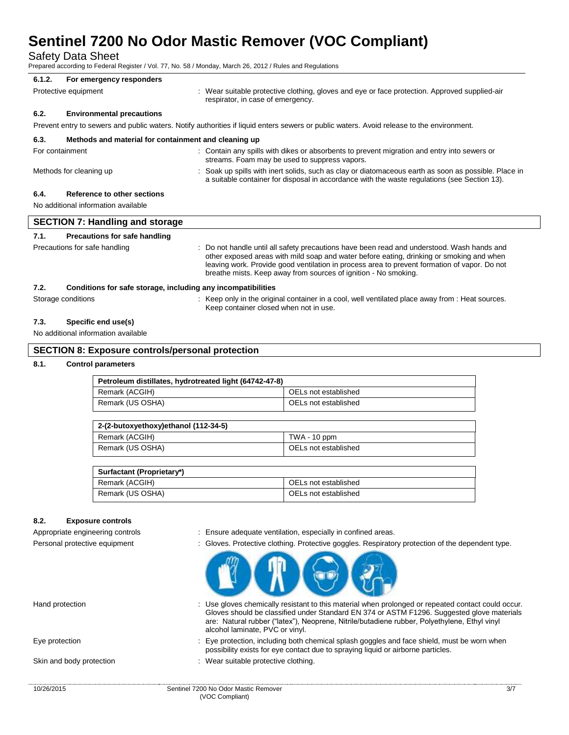Safety Data Sheet

Prepared according to Federal Register / Vol. 77, No. 58 / Monday, March 26, 2012 / Rules and Regulations

## **6.1.2. For emergency responders** Protective equipment **interval of the suitable protective clothing**, gloves and eye or face protection. Approved supplied-air respirator, in case of emergency. **6.2. Environmental precautions** Prevent entry to sewers and public waters. Notify authorities if liquid enters sewers or public waters. Avoid release to the environment. **6.3. Methods and material for containment and cleaning up** For containment **into a series in the Contain any spills with dikes or absorbents to prevent migration and entry into sewers or** containent of the semes or absorbent of prevent migration and entry into sewers or streams. Foam may be used to suppress vapors.

#### Methods for cleaning up example of the Soak up spills with inert solids, such as clay or diatomaceous earth as soon as possible. Place in

**6.4. Reference to other sections**

No additional information available

| <b>SECTION 7: Handling and storage</b> |                                                              |                                                                                                                                                                                                                                                                                                                                                           |
|----------------------------------------|--------------------------------------------------------------|-----------------------------------------------------------------------------------------------------------------------------------------------------------------------------------------------------------------------------------------------------------------------------------------------------------------------------------------------------------|
| 7.1.                                   | Precautions for safe handling                                |                                                                                                                                                                                                                                                                                                                                                           |
|                                        | Precautions for safe handling                                | : Do not handle until all safety precautions have been read and understood. Wash hands and<br>other exposed areas with mild soap and water before eating, drinking or smoking and when<br>leaving work. Provide good ventilation in process area to prevent formation of vapor. Do not<br>breathe mists. Keep away from sources of ignition - No smoking. |
| 7.2.                                   | Conditions for safe storage, including any incompatibilities |                                                                                                                                                                                                                                                                                                                                                           |
|                                        | Storage conditions                                           | : Keep only in the original container in a cool, well ventilated place away from : Heat sources.<br>Keep container closed when not in use.                                                                                                                                                                                                                |
| 7.3.                                   | Specific end use(s)                                          |                                                                                                                                                                                                                                                                                                                                                           |

# No additional information available

#### **SECTION 8: Exposure controls/personal protection**

#### **8.1. Control parameters**

| Petroleum distillates, hydrotreated light (64742-47-8) |                      |  |
|--------------------------------------------------------|----------------------|--|
| Remark (ACGIH)                                         | OELs not established |  |
| Remark (US OSHA)                                       | OELs not established |  |

| 2-(2-butoxyethoxy)ethanol (112-34-5) |                      |  |
|--------------------------------------|----------------------|--|
| Remark (ACGIH)                       | TWA - 10 ppm         |  |
| Remark (US OSHA)                     | OELs not established |  |

| Surfactant (Proprietary*) |                      |
|---------------------------|----------------------|
| Remark (ACGIH)            | OELs not established |
| Remark (US OSHA)          | OELs not established |

#### **8.2. Exposure controls**

- Appropriate engineering controls : Ensure adequate ventilation, especially in confined areas.
- Personal protective equipment : Gloves. Protective clothing. Protective goggles. Respiratory protection of the dependent type.

a suitable container for disposal in accordance with the waste regulations (see Section 13).



- Hand protection **interprotatally resistant to this material when prolonged or repeated contact could occur.** Gloves should be classified under Standard EN 374 or ASTM F1296. Suggested glove materials are: Natural rubber ("latex"), Neoprene, Nitrile/butadiene rubber, Polyethylene, Ethyl vinyl alcohol laminate, PVC or vinyl.
- Eye protection : Eye protection, including both chemical splash goggles and face shield, must be worn when possibility exists for eye contact due to spraying liquid or airborne particles.
- Skin and body protection : Wear suitable protective clothing.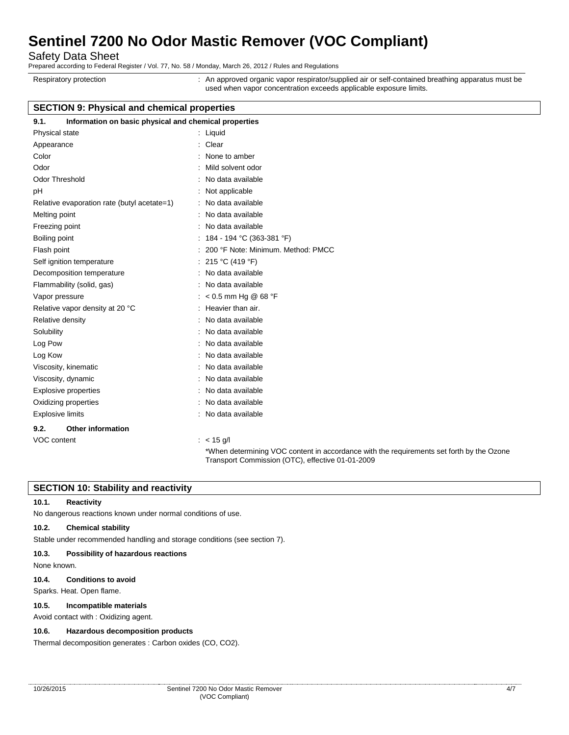Safety Data Sheet

Prepared according to Federal Register / Vol. 77, No. 58 / Monday, March 26, 2012 / Rules and Regulations

Respiratory protection : An approved organic vapor respirator/supplied air or self-contained breathing apparatus must be used when vapor concentration exceeds applicable exposure limits.

## **SECTION 9: Physical and chemical properties**

| 9.1.<br>Information on basic physical and chemical properties |                                                                                                                                              |
|---------------------------------------------------------------|----------------------------------------------------------------------------------------------------------------------------------------------|
| Physical state                                                | : Liquid                                                                                                                                     |
| Appearance                                                    | : Clear                                                                                                                                      |
| Color                                                         | None to amber                                                                                                                                |
| Odor                                                          | Mild solvent odor                                                                                                                            |
| <b>Odor Threshold</b>                                         | No data available                                                                                                                            |
| pH                                                            | Not applicable                                                                                                                               |
| Relative evaporation rate (butyl acetate=1)                   | : No data available                                                                                                                          |
| Melting point                                                 | : No data available                                                                                                                          |
| Freezing point                                                | : No data available                                                                                                                          |
| Boiling point                                                 | : $184 - 194$ °C (363-381 °F)                                                                                                                |
| Flash point                                                   | 200 °F Note: Minimum. Method: PMCC                                                                                                           |
| Self ignition temperature                                     | : 215 °C (419 °F)                                                                                                                            |
| Decomposition temperature                                     | : No data available                                                                                                                          |
| Flammability (solid, gas)                                     | : No data available                                                                                                                          |
| Vapor pressure                                                | : < $0.5$ mm Hg @ 68 °F                                                                                                                      |
| Relative vapor density at 20 °C                               | : Heavier than air.                                                                                                                          |
| Relative density                                              | : No data available                                                                                                                          |
| Solubility                                                    | : No data available                                                                                                                          |
| Log Pow                                                       | : No data available                                                                                                                          |
| Log Kow                                                       | : No data available                                                                                                                          |
| Viscosity, kinematic                                          | No data available                                                                                                                            |
| Viscosity, dynamic                                            | No data available                                                                                                                            |
| <b>Explosive properties</b>                                   | No data available                                                                                                                            |
| Oxidizing properties                                          | : No data available                                                                                                                          |
| <b>Explosive limits</b>                                       | : No data available                                                                                                                          |
| 9.2.<br><b>Other information</b>                              |                                                                                                                                              |
| VOC content                                                   | $: < 15$ g/l                                                                                                                                 |
|                                                               | *When determining VOC content in accordance with the requirements set forth by the Ozone<br>Transport Commission (OTC), effective 01-01-2009 |

### **SECTION 10: Stability and reactivity**

#### **10.1. Reactivity**

No dangerous reactions known under normal conditions of use.

#### **10.2. Chemical stability**

Stable under recommended handling and storage conditions (see section 7).

#### **10.3. Possibility of hazardous reactions**

None known.

#### **10.4. Conditions to avoid**

Sparks. Heat. Open flame.

#### **10.5. Incompatible materials**

Avoid contact with : Oxidizing agent.

#### **10.6. Hazardous decomposition products**

Thermal decomposition generates : Carbon oxides (CO, CO2).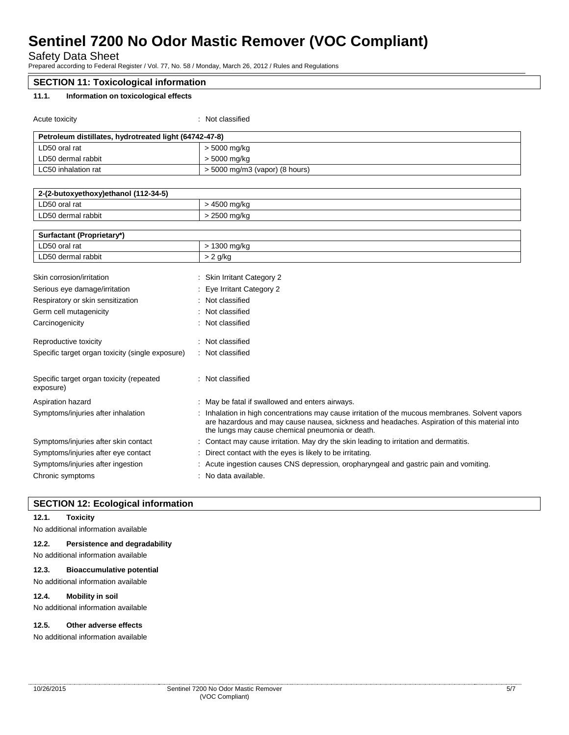Safety Data Sheet

Prepared according to Federal Register / Vol. 77, No. 58 / Monday, March 26, 2012 / Rules and Regulations

| <b>SECTION 11: Toxicological information</b>           |                                                                                                                                                                                                                                                    |  |
|--------------------------------------------------------|----------------------------------------------------------------------------------------------------------------------------------------------------------------------------------------------------------------------------------------------------|--|
| 11.1.<br>Information on toxicological effects          |                                                                                                                                                                                                                                                    |  |
|                                                        |                                                                                                                                                                                                                                                    |  |
| Acute toxicity                                         | : Not classified                                                                                                                                                                                                                                   |  |
| Petroleum distillates, hydrotreated light (64742-47-8) |                                                                                                                                                                                                                                                    |  |
| LD50 oral rat                                          | > 5000 mg/kg                                                                                                                                                                                                                                       |  |
| LD50 dermal rabbit                                     | > 5000 mg/kg                                                                                                                                                                                                                                       |  |
| LC50 inhalation rat                                    | > 5000 mg/m3 (vapor) (8 hours)                                                                                                                                                                                                                     |  |
|                                                        |                                                                                                                                                                                                                                                    |  |
| 2-(2-butoxyethoxy)ethanol (112-34-5)                   |                                                                                                                                                                                                                                                    |  |
| LD50 oral rat                                          | > 4500 mg/kg                                                                                                                                                                                                                                       |  |
| LD50 dermal rabbit                                     | > 2500 mg/kg                                                                                                                                                                                                                                       |  |
| Surfactant (Proprietary*)                              |                                                                                                                                                                                                                                                    |  |
| LD50 oral rat                                          | > 1300 mg/kg                                                                                                                                                                                                                                       |  |
| LD50 dermal rabbit                                     | $> 2$ g/kg                                                                                                                                                                                                                                         |  |
|                                                        |                                                                                                                                                                                                                                                    |  |
| Skin corrosion/irritation                              | : Skin Irritant Category 2                                                                                                                                                                                                                         |  |
| Serious eye damage/irritation                          | Eye Irritant Category 2                                                                                                                                                                                                                            |  |
| Respiratory or skin sensitization                      | : Not classified                                                                                                                                                                                                                                   |  |
| Germ cell mutagenicity                                 | Not classified                                                                                                                                                                                                                                     |  |
| Carcinogenicity                                        | : Not classified                                                                                                                                                                                                                                   |  |
| Reproductive toxicity                                  | : Not classified                                                                                                                                                                                                                                   |  |
| Specific target organ toxicity (single exposure)       | Not classified                                                                                                                                                                                                                                     |  |
|                                                        |                                                                                                                                                                                                                                                    |  |
| Specific target organ toxicity (repeated<br>exposure)  | : Not classified                                                                                                                                                                                                                                   |  |
| Aspiration hazard                                      | May be fatal if swallowed and enters airways.                                                                                                                                                                                                      |  |
| Symptoms/injuries after inhalation                     | Inhalation in high concentrations may cause irritation of the mucous membranes. Solvent vapors<br>are hazardous and may cause nausea, sickness and headaches. Aspiration of this material into<br>the lungs may cause chemical pneumonia or death. |  |
| Symptoms/injuries after skin contact                   | Contact may cause irritation. May dry the skin leading to irritation and dermatitis.                                                                                                                                                               |  |
| Symptoms/injuries after eye contact                    | Direct contact with the eyes is likely to be irritating.                                                                                                                                                                                           |  |
| Symptoms/injuries after ingestion                      | Acute ingestion causes CNS depression, oropharyngeal and gastric pain and vomiting.                                                                                                                                                                |  |
| Chronic symptoms                                       | : No data available.                                                                                                                                                                                                                               |  |

### **SECTION 12: Ecological information**

#### **12.1. Toxicity**

No additional information available

#### **12.2. Persistence and degradability**

No additional information available

#### **12.3. Bioaccumulative potential**

No additional information available

#### **12.4. Mobility in soil**

No additional information available

#### **12.5. Other adverse effects**

No additional information available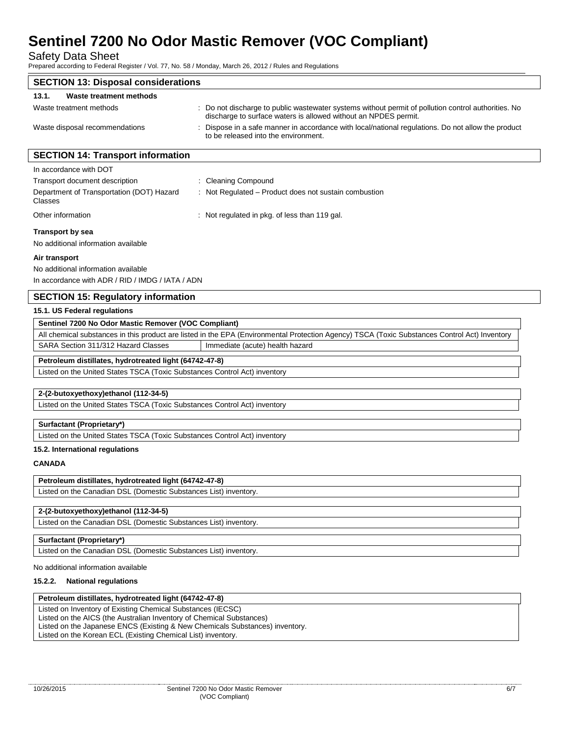Safety Data Sheet

Prepared according to Federal Register / Vol. 77, No. 58 / Monday, March 26, 2012 / Rules and Regulations

| <b>SECTION 13: Disposal considerations</b>                     |                                                                                                                                                                        |  |
|----------------------------------------------------------------|------------------------------------------------------------------------------------------------------------------------------------------------------------------------|--|
| 13.1.<br>Waste treatment methods                               |                                                                                                                                                                        |  |
| Waste treatment methods                                        | : Do not discharge to public wastewater systems without permit of pollution control authorities. No<br>discharge to surface waters is allowed without an NPDES permit. |  |
| Waste disposal recommendations                                 | : Dispose in a safe manner in accordance with local/national regulations. Do not allow the product<br>to be released into the environment.                             |  |
| <b>SECTION 14: Transport information</b>                       |                                                                                                                                                                        |  |
| In accordance with DOT                                         |                                                                                                                                                                        |  |
| Transport document description                                 | : Cleaning Compound                                                                                                                                                    |  |
| Department of Transportation (DOT) Hazard<br>Classes           | : Not Regulated – Product does not sustain combustion                                                                                                                  |  |
| Other information                                              | : Not regulated in pkg. of less than 119 gal.                                                                                                                          |  |
| <b>Transport by sea</b><br>No additional information available |                                                                                                                                                                        |  |
| Air transport                                                  |                                                                                                                                                                        |  |
| No additional information available                            |                                                                                                                                                                        |  |
| In accordance with ADR / RID / IMDG / IATA / ADN               |                                                                                                                                                                        |  |
| <b>SECTION 15: Regulatory information</b>                      |                                                                                                                                                                        |  |
| 15.1. US Federal regulations                                   |                                                                                                                                                                        |  |
| Sentinel 7200 No Odor Mastic Remover (VOC Compliant)           |                                                                                                                                                                        |  |
|                                                                | All chemical substances in this product are listed in the EPA (Environmental Protection Agency) TSCA (Toxic Substances Control Act) Inventory                          |  |
| SARA Section 311/312 Hazard Classes                            | Immediate (acute) health hazard                                                                                                                                        |  |
|                                                                |                                                                                                                                                                        |  |

### **Petroleum distillates, hydrotreated light (64742-47-8)**

Listed on the United States TSCA (Toxic Substances Control Act) inventory

#### **2-(2-butoxyethoxy)ethanol (112-34-5)**

Listed on the United States TSCA (Toxic Substances Control Act) inventory

#### **Surfactant (Proprietary\*)**

Listed on the United States TSCA (Toxic Substances Control Act) inventory

#### **15.2. International regulations**

#### **CANADA**

#### **Petroleum distillates, hydrotreated light (64742-47-8)**

Listed on the Canadian DSL (Domestic Substances List) inventory.

#### **2-(2-butoxyethoxy)ethanol (112-34-5)**

Listed on the Canadian DSL (Domestic Substances List) inventory.

#### **Surfactant (Proprietary\*)**

Listed on the Canadian DSL (Domestic Substances List) inventory.

#### No additional information available

#### **15.2.2. National regulations**

#### **Petroleum distillates, hydrotreated light (64742-47-8)**

Listed on Inventory of Existing Chemical Substances (IECSC) Listed on the AICS (the Australian Inventory of Chemical Substances) Listed on the Japanese ENCS (Existing & New Chemicals Substances) inventory. Listed on the Korean ECL (Existing Chemical List) inventory.